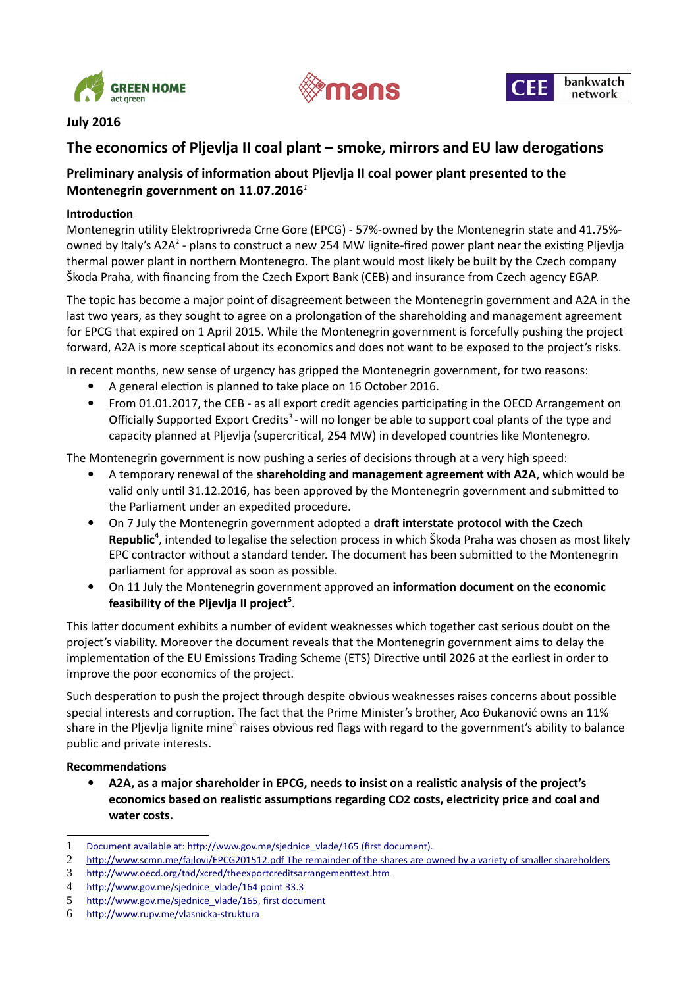





## **July 2016**

# **The economics of Pljevlja II coal plant – smoke, mirrors and EU law derogations**

## **Preliminary analysis of information about Pljevlja II coal power plant presented to the Montenegrin government on 11.07.2016***[1](#page-0-0)*

#### **Introduction**

Montenegrin utility Elektroprivreda Crne Gore (EPCG) - 57%-owned by the Montenegrin state and 41.75%- owned by Italy's A[2](#page-0-1)A<sup>2</sup> - plans to construct a new 254 MW lignite-fired power plant near the existing Pljevlja thermal power plant in northern Montenegro. The plant would most likely be built by the Czech company Škoda Praha, with financing from the Czech Export Bank (CEB) and insurance from Czech agency EGAP.

The topic has become a major point of disagreement between the Montenegrin government and A2A in the last two years, as they sought to agree on a prolongation of the shareholding and management agreement for EPCG that expired on 1 April 2015. While the Montenegrin government is forcefully pushing the project forward, A2A is more sceptical about its economics and does not want to be exposed to the project's risks.

In recent months, new sense of urgency has gripped the Montenegrin government, for two reasons:

- A general election is planned to take place on 16 October 2016.
- From 01.01.2017, the CEB as all export credit agencies participating in the OECD Arrangement on Officially Supported Export Credits<sup>[3](#page-0-2)</sup>-will no longer be able to support coal plants of the type and capacity planned at Pljevlja (supercritical, 254 MW) in developed countries like Montenegro.

The Montenegrin government is now pushing a series of decisions through at a very high speed:

- A temporary renewal of the **shareholding and management agreement with A2A**, which would be valid only until 31.12.2016, has been approved by the Montenegrin government and submitted to the Parliament under an expedited procedure.
- On 7 July the Montenegrin government adopted a **draft interstate protocol with the Czech Republic[4](#page-0-3)** , intended to legalise the selection process in which Škoda Praha was chosen as most likely EPC contractor without a standard tender. The document has been submitted to the Montenegrin parliament for approval as soon as possible.
- On 11 July the Montenegrin government approved an **information document on the economic feasibility of the Pljevlja II project[5](#page-0-4)** .

This latter document exhibits a number of evident weaknesses which together cast serious doubt on the project's viability. Moreover the document reveals that the Montenegrin government aims to delay the implementation of the EU Emissions Trading Scheme (ETS) Directive until 2026 at the earliest in order to improve the poor economics of the project.

Such desperation to push the project through despite obvious weaknesses raises concerns about possible special interests and corruption. The fact that the Prime Minister's brother, Aco Đukanović owns an 11% share in the Pljevlja lignite mine<sup>[6](#page-0-5)</sup> raises obvious red flags with regard to the government's ability to balance public and private interests.

#### **Recommendations**

 **A2A, as a major shareholder in EPCG, needs to insist on a realistic analysis of the project's economics based on realistic assumptions regarding CO2 costs, electricity price and coal and water costs.**

<span id="page-0-0"></span><sup>1</sup> Document available at: [http://www.gov.me/sjednice\\_vlade/165](http://www.gov.me/sjednice_vlade/165) (first document).

<span id="page-0-1"></span><sup>2</sup><http://www.scmn.me/fajlovi/EPCG201512.pdf>The remainder of the shares are owned by a variety of smaller shareholders

<span id="page-0-2"></span><sup>3</sup> http://www.oecd.org/tad/xcred/theexportcreditsarrangementtext.htm

<span id="page-0-3"></span><sup>4</sup> [http://www.gov.me/sjednice\\_vlade/164](http://www.gov.me/sjednice_vlade/164) point 33.3

<span id="page-0-4"></span><sup>5</sup> [http://www.gov.me/sjednice\\_vlade/165,](http://www.gov.me/sjednice_vlade/165) first document

<span id="page-0-5"></span><sup>6</sup> http://www.rupv.me/vlasnicka-struktura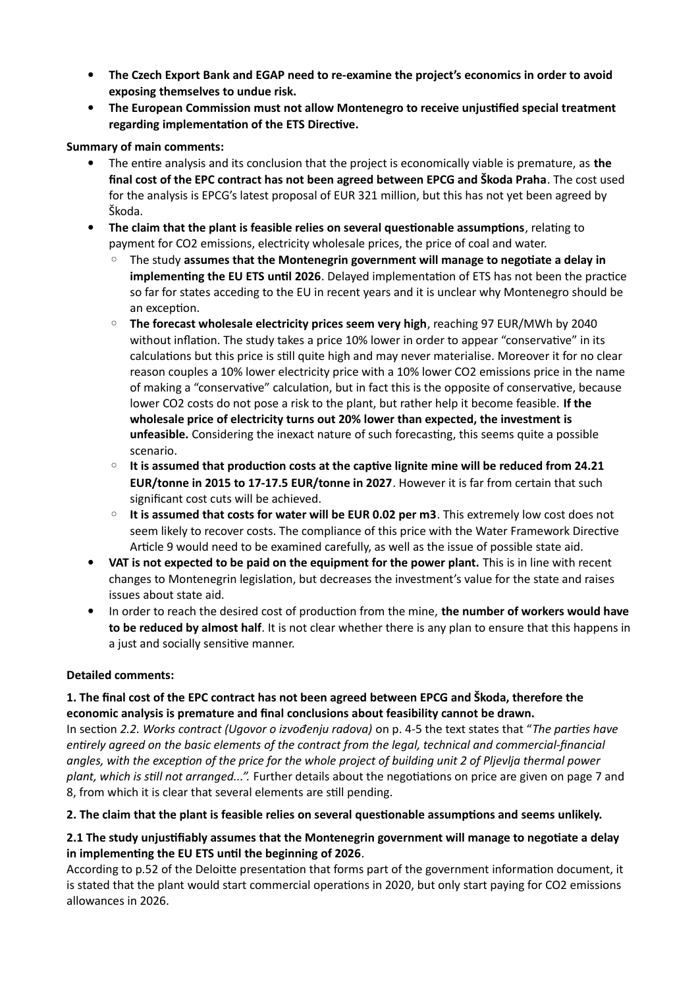- **The Czech Export Bank and EGAP need to re-examine the project's economics in order to avoid exposing themselves to undue risk.**
- **The European Commission must not allow Montenegro to receive unjustified special treatment regarding implementation of the ETS Directive.**

#### **Summary of main comments:**

- The entire analysis and its conclusion that the project is economically viable is premature, as **the final cost of the EPC contract has not been agreed between EPCG and Škoda Praha**. The cost used for the analysis is EPCG's latest proposal of EUR 321 million, but this has not yet been agreed by Škoda.
- **The claim that the plant is feasible relies on several questionable assumptions**, relating to payment for CO2 emissions, electricity wholesale prices, the price of coal and water.
	- The study **assumes that the Montenegrin government will manage to negotiate a delay in implementing the EU ETS until 2026**. Delayed implementation of ETS has not been the practice so far for states acceding to the EU in recent years and it is unclear why Montenegro should be an exception.
	- **The forecast wholesale electricity prices seem very high**, reaching 97 EUR/MWh by 2040 without inflation. The study takes a price 10% lower in order to appear "conservative" in its calculations but this price is still quite high and may never materialise. Moreover it for no clear reason couples a 10% lower electricity price with a 10% lower CO2 emissions price in the name of making a "conservative" calculation, but in fact this is the opposite of conservative, because lower CO2 costs do not pose a risk to the plant, but rather help it become feasible. **If the wholesale price of electricity turns out 20% lower than expected, the investment is unfeasible.** Considering the inexact nature of such forecasting, this seems quite a possible scenario.
	- **It is assumed that production costs at the captive lignite mine will be reduced from 24.21 EUR/tonne in 2015 to 17-17.5 EUR/tonne in 2027**. However it is far from certain that such significant cost cuts will be achieved.
	- **It is assumed that costs for water will be EUR 0.02 per m3**. This extremely low cost does not seem likely to recover costs. The compliance of this price with the Water Framework Directive Article 9 would need to be examined carefully, as well as the issue of possible state aid.
- **VAT is not expected to be paid on the equipment for the power plant.** This is in line with recent changes to Montenegrin legislation, but decreases the investment's value for the state and raises issues about state aid.
- In order to reach the desired cost of production from the mine, **the number of workers would have to be reduced by almost half**. It is not clear whether there is any plan to ensure that this happens in a just and socially sensitive manner.

### **Detailed comments:**

## **1. The final cost of the EPC contract has not been agreed between EPCG and Škoda, therefore the economic analysis is premature and final conclusions about feasibility cannot be drawn.**

In section *2.2. Works contract (Ugovor o izvođenju radova)* on p. 4-5 the text states that "*The parties have entirely agreed on the basic elements of the contract from the legal, technical and commercial-financial angles, with the exception of the price for the whole project of building unit 2 of Pljevlja thermal power plant, which is still not arranged...".* Further details about the negotiations on price are given on page 7 and 8, from which it is clear that several elements are still pending.

### **2. The claim that the plant is feasible relies on several questionable assumptions and seems unlikely.**

### **2.1 The study unjustifiably assumes that the Montenegrin government will manage to negotiate a delay in implementing the EU ETS until the beginning of 2026**.

According to p.52 of the Deloitte presentation that forms part of the government information document, it is stated that the plant would start commercial operations in 2020, but only start paying for CO2 emissions allowances in 2026.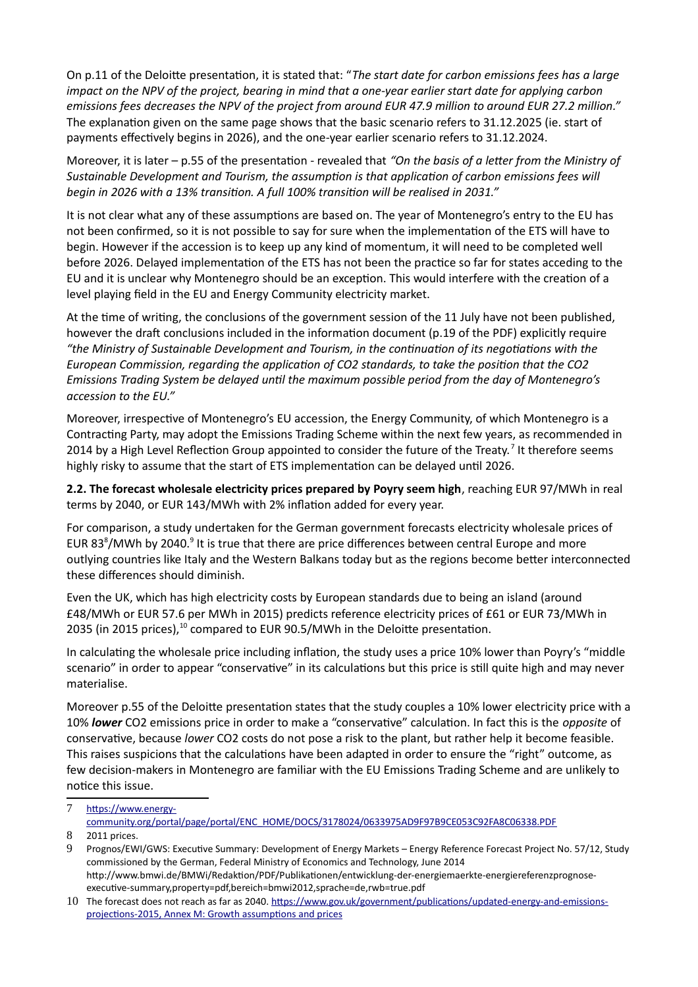On p.11 of the Deloitte presentation, it is stated that: "*The start date for carbon emissions fees has a large impact on the NPV of the project, bearing in mind that a one-year earlier start date for applying carbon emissions fees decreases the NPV of the project from around EUR 47.9 million to around EUR 27.2 million."*  The explanation given on the same page shows that the basic scenario refers to 31.12.2025 (ie. start of payments effectively begins in 2026), and the one-year earlier scenario refers to 31.12.2024.

Moreover, it is later – p.55 of the presentation - revealed that *"On the basis of a letter from the Ministry of Sustainable Development and Tourism, the assumption is that application of carbon emissions fees will begin in 2026 with a 13% transition. A full 100% transition will be realised in 2031."*

It is not clear what any of these assumptions are based on. The year of Montenegro's entry to the EU has not been confirmed, so it is not possible to say for sure when the implementation of the ETS will have to begin. However if the accession is to keep up any kind of momentum, it will need to be completed well before 2026. Delayed implementation of the ETS has not been the practice so far for states acceding to the EU and it is unclear why Montenegro should be an exception. This would interfere with the creation of a level playing field in the EU and Energy Community electricity market.

At the time of writing, the conclusions of the government session of the 11 July have not been published, however the draft conclusions included in the information document (p.19 of the PDF) explicitly require *"the Ministry of Sustainable Development and Tourism, in the continuation of its negotiations with the European Commission, regarding the application of CO2 standards, to take the position that the CO2 Emissions Trading System be delayed until the maximum possible period from the day of Montenegro's accession to the EU."*

Moreover, irrespective of Montenegro's EU accession, the Energy Community, of which Montenegro is a Contracting Party, may adopt the Emissions Trading Scheme within the next few years, as recommended in 2014 by a High Level Reflection Group appointed to consider the future of the Treaty.<sup>[7](#page-2-0)</sup> It therefore seems highly risky to assume that the start of ETS implementation can be delayed until 2026.

**2.2. The forecast wholesale electricity prices prepared by Poyry seem high**, reaching EUR 97/MWh in real terms by 2040, or EUR 143/MWh with 2% inflation added for every year.

For comparison, a study undertaken for the German government forecasts electricity wholesale prices of EUR [8](#page-2-1)3<sup>8</sup>/MWh by 2040.<sup>[9](#page-2-2)</sup> It is true that there are price differences between central Europe and more outlying countries like Italy and the Western Balkans today but as the regions become better interconnected these differences should diminish.

Even the UK, which has high electricity costs by European standards due to being an island (around £48/MWh or EUR 57.6 per MWh in 2015) predicts reference electricity prices of £61 or EUR 73/MWh in 2035 (in 2015 prices),<sup>[10](#page-2-3)</sup> compared to EUR 90.5/MWh in the Deloitte presentation.

In calculating the wholesale price including inflation, the study uses a price 10% lower than Poyry's "middle scenario" in order to appear "conservative" in its calculations but this price is still quite high and may never materialise.

Moreover p.55 of the Deloitte presentation states that the study couples a 10% lower electricity price with a 10% *lower* CO2 emissions price in order to make a "conservative" calculation. In fact this is the *opposite* of conservative, because *lower* CO2 costs do not pose a risk to the plant, but rather help it become feasible. This raises suspicions that the calculations have been adapted in order to ensure the "right" outcome, as few decision-makers in Montenegro are familiar with the EU Emissions Trading Scheme and are unlikely to notice this issue.

<span id="page-2-0"></span><sup>7</sup> https://www.energy-

community.org/portal/page/portal/ENC\_HOME/DOCS/3178024/0633975AD9F97B9CE053C92FA8C06338.PDF

<span id="page-2-1"></span><sup>8</sup> 2011 prices.

<span id="page-2-2"></span><sup>9</sup> Prognos/EWI/GWS: Executive Summary: Development of Energy Markets – Energy Reference Forecast Project No. 57/12, Study commissioned by the German, Federal Ministry of Economics and Technology, June 2014 http://www.bmwi.de/BMWi/Redaktion/PDF/Publikationen/entwicklung-der-energiemaerkte-energiereferenzprognoseexecutive-summary,property=pdf,bereich=bmwi2012,sprache=de,rwb=true.pdf

<span id="page-2-3"></span><sup>10</sup> The forecast does not reach as far as 2040. [https://www.gov.uk/government/publications/updated-energy-and-emissions](https://www.gov.uk/government/publications/updated-energy-and-emissions-projections-2015)  [projections-2015,](https://www.gov.uk/government/publications/updated-energy-and-emissions-projections-2015) Annex M: Growth assumptions and prices